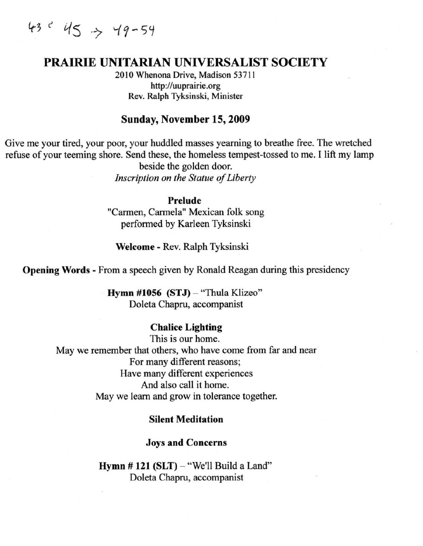$43<sup>2</sup>$  45  $\rightarrow$  49-54

# **PRAIRIE** UNITARIAN UNIVERSALIST SOCIETY

2010 Whenona Drive, Madison 53711 http://uuprairie.org Rev. Ralph Tyksinski, Minister

#### Sunday, November 15, 2009

Give me your tired, your poor, your huddled masses yearning to breathe free. The wretched refuse of your teeming shore. Send these, the homeless tempest-tossed to me. [ lift my lamp beside the golden door.

*Inscription on the Statue of Liberty* 

#### Prelude

"Carmen, Carmela" Mexican folk song performed by Karleen Tyksinski

Welcome - Rev. Ralph Tyksinski

Opening Words - From a speech given by Ronald Reagan during this presidency

Hymn #1056 (STJ) - "Thula Klizeo" Dolela Chapru, accompanist

#### Chalice Lighting

This is our home. May we remember that others, who have come from far and near For many different reasons; Have many different experiences And also call it home. May we learn and grow in tolerance together.

#### Silent Meditation

#### Joys and Concerns

Hymn  $# 121$  (SLT)  $-$  "We'll Build a Land" Doleta Chapru, accompanist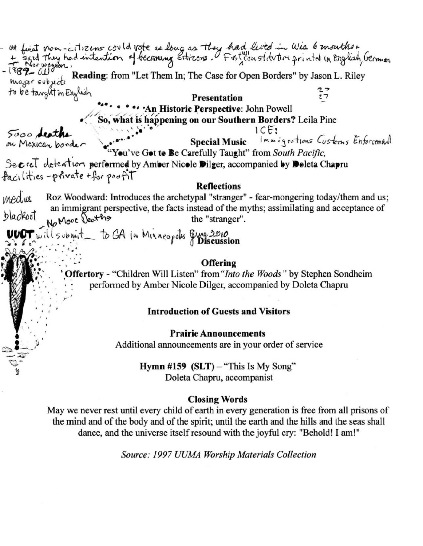at first non-citizens could vote as long as they had lived in Wis 6 months. Reading: from "Let Them In; The Case for Open Borders" by Jason L. Riley major subjects to be taught in English  $27$ **Presentation** 'An Historic Perspective: John Powell So, what is happening on our Southern Borders? Leila Pine  $ICE:$ 5000 deaths Immigrations Customs Enforcement **Special Music** on Mexican border ou've Got to Be Carefully Taught" from South Pacific, Secret detention performed by Amber Nicole Dilger, accompanied by Doleta Chapru facilities-private+for poofit Reflections medus Roz Woodward: Introduces the archetypal "stranger" - fear-mongering today/them and us; an immigrant perspective, the facts instead of the myths; assimilating and acceptance of<br>be "stranger"  $\mu_0$  More  $\lambda_0$  the "stranger".  $~100$ T  $~w$ illsub $~m$ it to GA in Minneopolis  $~9$ Me  $2010$ . . . ' \*'  $\cdot$   $\cdot$ **Offering** • Offertory - "Children Will Listen" from *"Into the Woods"* by Stephen Sondheim performed by Amber Nicole Dilger, accompanied by Doleta Chapru .. .. Introduction of Guests and Visitors Prairie Announcements Additional announcements are in your order of service Hymn #159  $(SLT)$  – "This Is My Song" Doleta Chapru, accompanist Closing Words May we never rest until every child of earth in every generation is free from all prisons of the mind and of the body and of the spirit; until the earth and the hills and the seas shall

*Source: 1997 UUMA Worship Materials Collection* 

dance, and the universe itself resound with the joyful cry: "Behold! I am!"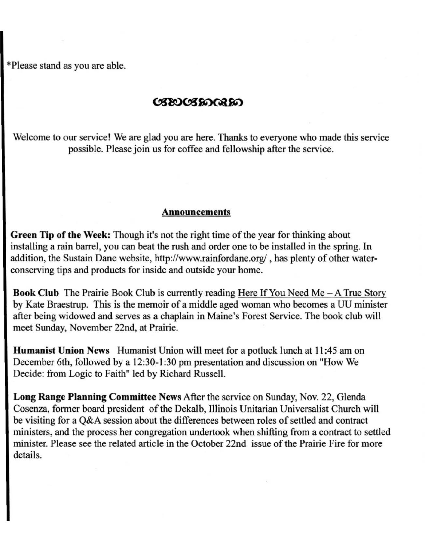·Please stand as you are able.

### ೞಾಲಡಾಂಣ

Welcome to our service! We are glad you are here. Thanks to everyone who made this service possible. Please join us for coffee and fellowship after the service.

#### Announcements

Green Tip of the Week: Though it's not the right time of the year for thinking about installing a rain barrel, you can beat the rush and order one to be installed in the spring. In addition, the Sustain Dane website, http://www.rainfordane.org/, has plenty of other waterconserving tips and products for inside and outside your home.

**Book Club** The Prairie Book Club is currently reading Here If You Need Me  $-A$  True Story by Kate Braestrup. This is the memoir of a middle aged woman who becomes a UU minister after being widowed and serves as a chaplain in Maine's Forest Service. The book club will meet Sunday, November 22nd, at Prairie.

Humanist Union News Humanist Union will meet for a potluck lunch at II :45 am on December 6th, followed by a 12:30-1 :30 pm presentation and discussion on "How We Decide: from Logic to Faith" led by Richard Russell.

Long Range Planning Committee News After the service on Sunday, Nov. 22, Glenda Cosenza, former board president of the Dekalb, Illinois Unitarian Universalist Church will be visiting for a Q&A session about the differences between roles of settled and contract ministers, and the process her congregation undertook when shifting from a contract to settled minister. Please see the related article in the October 22nd issue of the Prairie Fire for more details.